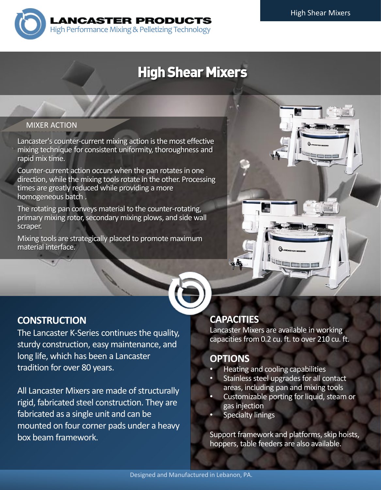

# **High Shear Mixers**

# **MIXER ACTION** MIXER ACTION

Lancaster's counter-current mixing action is the most effective mixing technique for consistent uniformity, thoroughness and rapid mix time.

Counter-current action occurs when the pan rotates in one direction, while the mixing tools rotate in the other. Processing times are greatly reduced while providing a more homogeneous batch .

The rotating pan conveys material to the counter-rotating, primary mixing rotor, secondary mixing plows, and side wall scraper.

Mixing tools are strategically placed to promote maximum material interface.



# **CONSTRUCTION**

The Lancaster K-Series continues the quality, sturdy construction, easy maintenance, and long life, which has been a Lancaster tradition for over 80 years.

All Lancaster Mixers are made of structurally rigid, fabricated steel construction. They are fabricated as a single unit and can be mounted on four corner pads under a heavy box beam framework.

# **CAPACITIES**

 $75$ 

Lancaster Mixers are available in working capacities from 0.2 cu. ft. to over 210 cu. ft.

<u>the Common more and the the three parties in the three parties in the three parties in the three parties in the three parties in the three parties in the three parties in the three parties in the three parties in the thre</u>

## **OPTIONS**

- Heating and cooling capabilities
- Stainless steel upgrades for all contact areas, including pan and mixing tools
- Customizable porting for liquid, steam or gas injection
- **Specialty linings**

Support framework and platforms, skip hoists, hoppers, table feeders are also available.